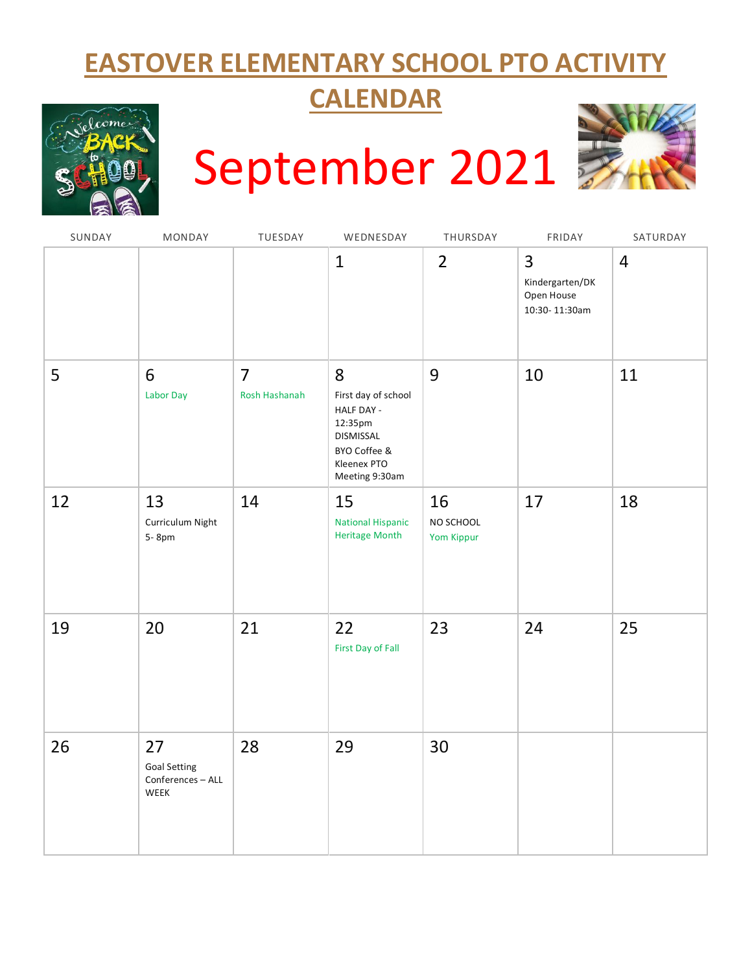# **EASTOVER ELEMENTARY SCHOOL PTO ACTIVITY**

## **CALENDAR**



# September 2021



| SUNDAY | MONDAY                                                 | TUESDAY                         | WEDNESDAY                                                                                                       | THURSDAY                      | FRIDAY                                              | SATURDAY       |
|--------|--------------------------------------------------------|---------------------------------|-----------------------------------------------------------------------------------------------------------------|-------------------------------|-----------------------------------------------------|----------------|
|        |                                                        |                                 | $\mathbf{1}$                                                                                                    | $\overline{2}$                | 3<br>Kindergarten/DK<br>Open House<br>10:30-11:30am | $\overline{4}$ |
| 5      | 6<br>Labor Day                                         | $\overline{7}$<br>Rosh Hashanah | 8<br>First day of school<br>HALF DAY -<br>12:35pm<br>DISMISSAL<br>BYO Coffee &<br>Kleenex PTO<br>Meeting 9:30am | 9                             | 10                                                  | 11             |
| 12     | 13<br>Curriculum Night<br>5-8pm                        | 14                              | 15<br><b>National Hispanic</b><br><b>Heritage Month</b>                                                         | 16<br>NO SCHOOL<br>Yom Kippur | 17                                                  | 18             |
| 19     | 20                                                     | 21                              | 22<br>First Day of Fall                                                                                         | 23                            | 24                                                  | 25             |
| 26     | 27<br><b>Goal Setting</b><br>Conferences - ALL<br>WEEK | 28                              | 29                                                                                                              | 30                            |                                                     |                |